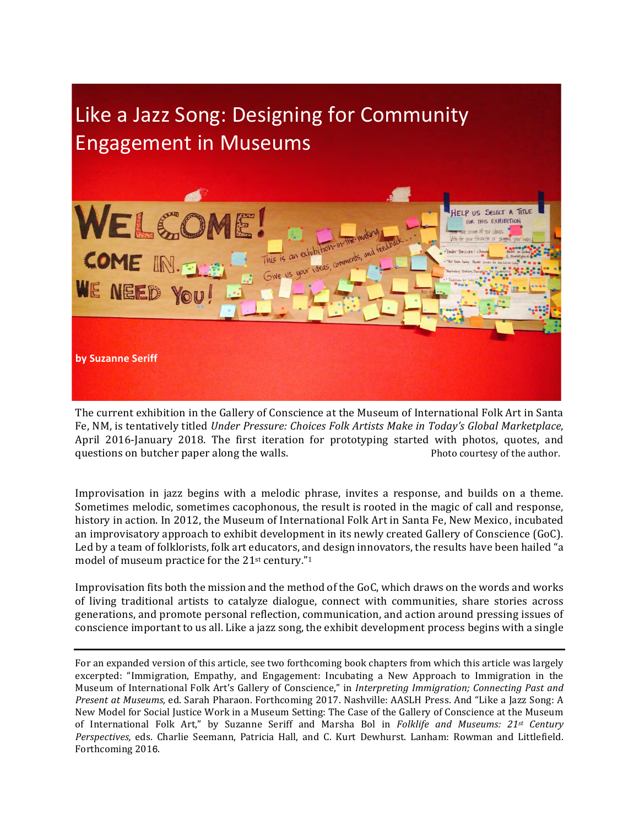

The current exhibition in the Gallery of Conscience at the Museum of International Folk Art in Santa Fe, NM, is tentatively titled *Under Pressure: Choices Folk Artists Make in Today's Global Marketplace*, April 2016-January 2018. The first iteration for prototyping started with photos, quotes, and questions on butcher paper along the walls. The mass of the author.

Improvisation in jazz begins with a melodic phrase, invites a response, and builds on a theme. Sometimes melodic, sometimes cacophonous, the result is rooted in the magic of call and response, history in action. In 2012, the Museum of International Folk Art in Santa Fe, New Mexico, incubated an improvisatory approach to exhibit development in its newly created Gallery of Conscience (GoC). Led by a team of folklorists, folk art educators, and design innovators, the results have been hailed "a model of museum practice for the  $21$ <sup>st</sup> century."<sup>1</sup>

Improvisation fits both the mission and the method of the GoC, which draws on the words and works of living traditional artists to catalyze dialogue, connect with communities, share stories across generations, and promote personal reflection, communication, and action around pressing issues of conscience important to us all. Like a jazz song, the exhibit development process begins with a single

For an expanded version of this article, see two forthcoming book chapters from which this article was largely excerpted: "Immigration, Empathy, and Engagement: Incubating a New Approach to Immigration in the Museum of International Folk Art's Gallery of Conscience," in *Interpreting Immigration; Connecting Past and Present at Museums,* ed. Sarah Pharaon. Forthcoming 2017. Nashville: AASLH Press. And "Like a Jazz Song: A New Model for Social Justice Work in a Museum Setting: The Case of the Gallery of Conscience at the Museum of International Folk Art," by Suzanne Seriff and Marsha Bol in *Folklife and Museums:* 21<sup>*st Century*</sup> Perspectives, eds. Charlie Seemann, Patricia Hall, and C. Kurt Dewhurst. Lanham: Rowman and Littlefield. Forthcoming 2016.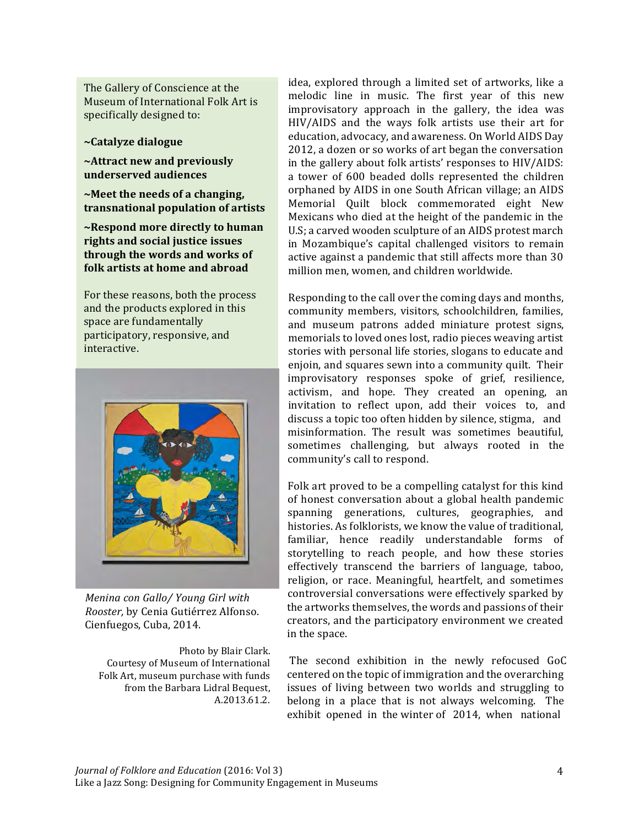The Gallery of Conscience at the Museum of International Folk Art is specifically designed to:

~Catalyze dialogue

~Attract new and previously underserved audiences

 $\sim$ Meet the needs of a changing, transnational population of artists

~Respond more directly to human rights and social justice issues through the words and works of folk artists at home and abroad

For these reasons, both the process and the products explored in this space are fundamentally participatory, responsive, and interactive.



Menina con Gallo/ Young Girl with Rooster, by Cenia Gutiérrez Alfonso. Cienfuegos, Cuba, 2014.

Photo by Blair Clark. Courtesy of Museum of International Folk Art, museum purchase with funds from the Barbara Lidral Bequest, A.2013.61.2.

idea, explored through a limited set of artworks, like a melodic line in music. The first year of this new improvisatory approach in the gallery, the idea was HIV/AIDS and the ways folk artists use their art for education, advocacy, and awareness. On World AIDS Day 2012, a dozen or so works of art began the conversation in the gallery about folk artists' responses to HIV/AIDS: a tower of 600 beaded dolls represented the children orphaned by AIDS in one South African village; an AIDS Memorial Quilt block commemorated eight New Mexicans who died at the height of the pandemic in the U.S; a carved wooden sculpture of an AIDS protest march in Mozambique's capital challenged visitors to remain active against a pandemic that still affects more than 30 million men, women, and children worldwide.

Responding to the call over the coming days and months, community members, visitors, schoolchildren, families, and museum patrons added miniature protest signs, memorials to loved ones lost, radio pieces weaving artist stories with personal life stories, slogans to educate and enjoin, and squares sewn into a community quilt. Their improvisatory responses spoke of grief, resilience, activism, and hope. They created an opening, an invitation to reflect upon, add their voices to, and discuss a topic too often hidden by silence, stigma, and misinformation. The result was sometimes beautiful. sometimes challenging, but always rooted in the community's call to respond.

Folk art proved to be a compelling catalyst for this kind of honest conversation about a global health pandemic spanning generations, cultures, geographies, and histories. As folklorists, we know the value of traditional. familiar, hence readily understandable forms of storytelling to reach people, and how these stories effectively transcend the barriers of language, taboo, religion, or race. Meaningful, heartfelt, and sometimes controversial conversations were effectively sparked by the artworks themselves, the words and passions of their creators, and the participatory environment we created in the space.

The second exhibition in the newly refocused GoC centered on the topic of immigration and the overarching issues of living between two worlds and struggling to belong in a place that is not always welcoming. The exhibit opened in the winter of 2014, when national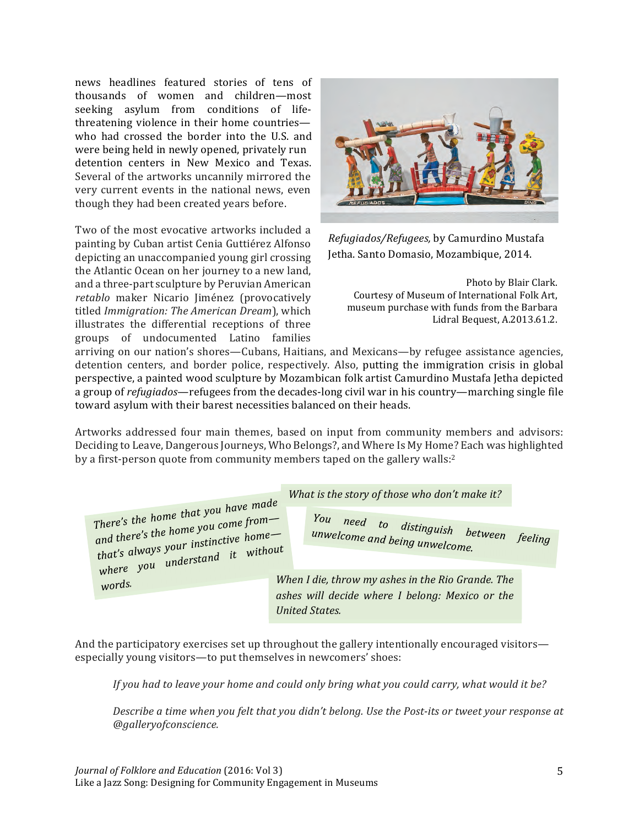news headlines featured stories of tens of thousands of women and children-most seeking asylum from conditions of lifethreatening violence in their home countrieswho had crossed the border into the U.S. and were being held in newly opened, privately run detention centers in New Mexico and Texas. Several of the artworks uncannily mirrored the very current events in the national news, even though they had been created years before.

Two of the most evocative artworks included a painting by Cuban artist Cenia Guttiérez Alfonso depicting an unaccompanied young girl crossing the Atlantic Ocean on her journey to a new land, and a three-part sculpture by Peruvian American retablo maker Nicario Jiménez (provocatively titled Immigration: The American Dream), which illustrates the differential receptions of three groups of undocumented Latino families



Refugiados/Refugees, by Camurdino Mustafa Jetha. Santo Domasio, Mozambique, 2014.

Photo by Blair Clark. Courtesy of Museum of International Folk Art, museum purchase with funds from the Barbara Lidral Bequest, A.2013.61.2.

arriving on our nation's shores—Cubans, Haitians, and Mexicans—by refugee assistance agencies, detention centers, and border police, respectively. Also, putting the immigration crisis in global perspective, a painted wood sculpture by Mozambican folk artist Camurdino Mustafa Jetha depicted a group of refugiados—refugees from the decades-long civil war in his country—marching single file toward asylum with their barest necessities balanced on their heads.

Artworks addressed four main themes, based on input from community members and advisors: Deciding to Leave, Dangerous Journeys, Who Belongs?, and Where Is My Home? Each was highlighted by a first-person quote from community members taped on the gallery walls:2

|                                                                            | What is the story of those who don't make it?     |
|----------------------------------------------------------------------------|---------------------------------------------------|
| There's the home that you have made<br>and there's the home you come from- | You need to distinguish between                   |
| that's always your instinctive home-<br>where you understand it without    | unwelcome and being unwelcome.<br>feeling         |
| words.                                                                     | When I die, throw my ashes in the Rio Grande. The |
|                                                                            | ashes will decide where I belong: Mexico or the   |
|                                                                            | United States.                                    |

And the participatory exercises set up throughout the gallery intentionally encouraged visitors especially young visitors—to put themselves in newcomers' shoes:

If you had to leave your home and could only bring what you could carry, what would it be?

Describe a time when you felt that you didn't belong. Use the Post-its or tweet your response at @gallervofconscience.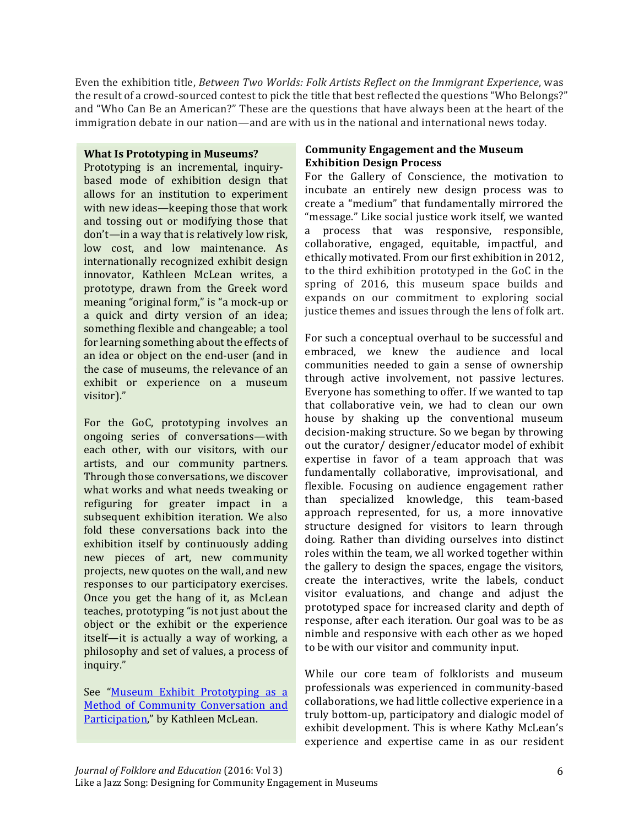Even the exhibition title, Between Two Worlds: Folk Artists Reflect on the Immigrant Experience, was the result of a crowd-sourced contest to pick the title that best reflected the questions "Who Belongs?" and "Who Can Be an American?" These are the questions that have always been at the heart of the immigration debate in our nation—and are with us in the national and international news today.

## **What Is Prototyping in Museums?**

Prototyping is an incremental, inquirybased mode of exhibition design that allows for an institution to experiment with new ideas—keeping those that work and tossing out or modifying those that don't—in a way that is relatively low risk, low cost, and low maintenance. As internationally recognized exhibit design innovator, Kathleen McLean writes, a prototype, drawn from the Greek word meaning "original form," is "a mock-up or a quick and dirty version of an idea; something flexible and changeable; a tool for learning something about the effects of an idea or object on the end-user (and in the case of museums, the relevance of an exhibit or experience on a museum visitor)."

For the GoC, prototyping involves an ongoing series of conversations-with each other, with our visitors, with our artists, and our community partners. Through those conversations, we discover what works and what needs tweaking or refiguring for greater impact in a subsequent exhibition iteration. We also fold these conversations back into the exhibition itself by continuously adding new pieces of art, new community projects, new quotes on the wall, and new responses to our participatory exercises. Once you get the hang of it, as McLean teaches, prototyping "is not just about the object or the exhibit or the experience itself—it is actually a way of working, a philosophy and set of values, a process of inquiry."

See "Museum Exhibit Prototyping as a Method of Community Conversation and Participation," by Kathleen McLean.

## **Community Engagement and the Museum Exhibition Design Process**

For the Gallery of Conscience, the motivation to incubate an entirely new design process was to create a "medium" that fundamentally mirrored the "message." Like social justice work itself, we wanted a process that was responsive, responsible, collaborative, engaged, equitable, impactful, and ethically motivated. From our first exhibition in 2012, to the third exhibition prototyped in the GoC in the spring of 2016, this museum space builds and expands on our commitment to exploring social justice themes and issues through the lens of folk art.

For such a conceptual overhaul to be successful and embraced, we knew the audience and local communities needed to gain a sense of ownership through active involvement, not passive lectures. Everyone has something to offer. If we wanted to tap that collaborative vein, we had to clean our own house by shaking up the conventional museum decision-making structure. So we began by throwing out the curator/designer/educator model of exhibit expertise in favor of a team approach that was fundamentally collaborative, improvisational, and flexible. Focusing on audience engagement rather than specialized knowledge, this team-based approach represented, for us, a more innovative structure designed for visitors to learn through doing. Rather than dividing ourselves into distinct roles within the team, we all worked together within the gallery to design the spaces, engage the visitors, create the interactives, write the labels. conduct visitor evaluations, and change and adjust the prototyped space for increased clarity and depth of response, after each iteration. Our goal was to be as nimble and responsive with each other as we hoped to be with our visitor and community input.

While our core team of folklorists and museum professionals was experienced in community-based collaborations, we had little collective experience in a truly bottom-up, participatory and dialogic model of exhibit development. This is where Kathy McLean's experience and expertise came in as our resident